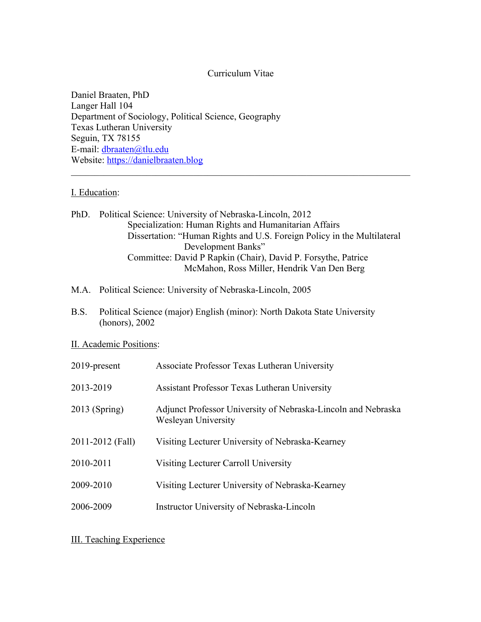# Curriculum Vitae

Daniel Braaten, PhD Langer Hall 104 Department of Sociology, Political Science, Geography Texas Lutheran University Seguin, TX 78155 E-mail: dbraaten@tlu.edu Website: https://danielbraaten.blog

# I. Education:

PhD. Political Science: University of Nebraska-Lincoln, 2012 Specialization: Human Rights and Humanitarian Affairs Dissertation: "Human Rights and U.S. Foreign Policy in the Multilateral Development Banks" Committee: David P Rapkin (Chair), David P. Forsythe, Patrice McMahon, Ross Miller, Hendrik Van Den Berg

- M.A. Political Science: University of Nebraska-Lincoln, 2005
- B.S. Political Science (major) English (minor): North Dakota State University (honors), 2002

# II. Academic Positions:

| $2019$ -present  | Associate Professor Texas Lutheran University                                        |
|------------------|--------------------------------------------------------------------------------------|
| 2013-2019        | <b>Assistant Professor Texas Lutheran University</b>                                 |
| $2013$ (Spring)  | Adjunct Professor University of Nebraska-Lincoln and Nebraska<br>Wesleyan University |
| 2011-2012 (Fall) | Visiting Lecturer University of Nebraska-Kearney                                     |
| 2010-2011        | Visiting Lecturer Carroll University                                                 |
| 2009-2010        | Visiting Lecturer University of Nebraska-Kearney                                     |
| 2006-2009        | Instructor University of Nebraska-Lincoln                                            |

III. Teaching Experience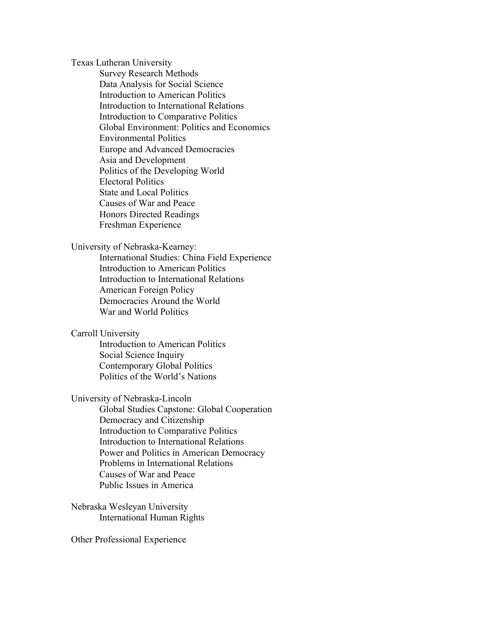Texas Lutheran University

Survey Research Methods Data Analysis for Social Science Introduction to American Politics Introduction to International Relations Introduction to Comparative Politics Global Environment: Politics and Economics Environmental Politics Europe and Advanced Democracies Asia and Development Politics of the Developing World Electoral Politics State and Local Politics Causes of War and Peace Honors Directed Readings Freshman Experience

## University of Nebraska-Kearney:

International Studies: China Field Experience Introduction to American Politics Introduction to International Relations American Foreign Policy Democracies Around the World War and World Politics

## Carroll University

Introduction to American Politics Social Science Inquiry Contemporary Global Politics Politics of the World's Nations

# University of Nebraska-Lincoln

Global Studies Capstone: Global Cooperation Democracy and Citizenship Introduction to Comparative Politics Introduction to International Relations Power and Politics in American Democracy Problems in International Relations Causes of War and Peace Public Issues in America

Nebraska Wesleyan University International Human Rights

# Other Professional Experience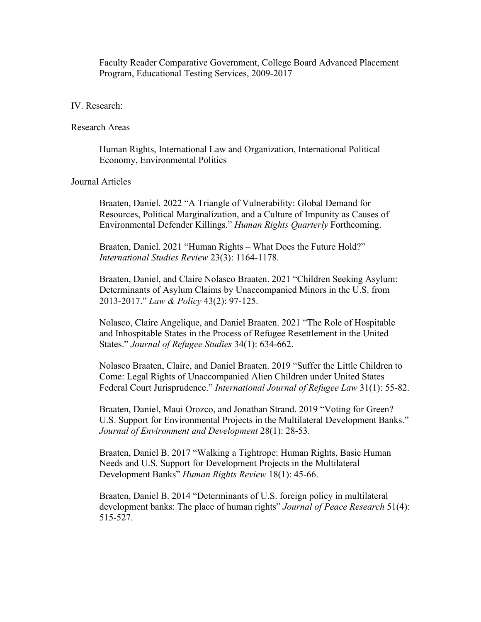Faculty Reader Comparative Government, College Board Advanced Placement Program, Educational Testing Services, 2009-2017

## IV. Research:

#### Research Areas

Human Rights, International Law and Organization, International Political Economy, Environmental Politics

# Journal Articles

Braaten, Daniel. 2022 "A Triangle of Vulnerability: Global Demand for Resources, Political Marginalization, and a Culture of Impunity as Causes of Environmental Defender Killings." *Human Rights Quarterly* Forthcoming.

Braaten, Daniel. 2021 "Human Rights – What Does the Future Hold?" *International Studies Review* 23(3): 1164-1178.

Braaten, Daniel, and Claire Nolasco Braaten. 2021 "Children Seeking Asylum: Determinants of Asylum Claims by Unaccompanied Minors in the U.S. from 2013-2017." *Law & Policy* 43(2): 97-125.

Nolasco, Claire Angelique, and Daniel Braaten. 2021 "The Role of Hospitable and Inhospitable States in the Process of Refugee Resettlement in the United States." *Journal of Refugee Studies* 34(1): 634-662.

Nolasco Braaten, Claire, and Daniel Braaten. 2019 "Suffer the Little Children to Come: Legal Rights of Unaccompanied Alien Children under United States Federal Court Jurisprudence." *International Journal of Refugee Law* 31(1): 55-82.

Braaten, Daniel, Maui Orozco, and Jonathan Strand. 2019 "Voting for Green? U.S. Support for Environmental Projects in the Multilateral Development Banks." *Journal of Environment and Development* 28(1): 28-53.

Braaten, Daniel B. 2017 "Walking a Tightrope: Human Rights, Basic Human Needs and U.S. Support for Development Projects in the Multilateral Development Banks" *Human Rights Review* 18(1): 45-66.

Braaten, Daniel B. 2014 "Determinants of U.S. foreign policy in multilateral development banks: The place of human rights" *Journal of Peace Research* 51(4): 515-527.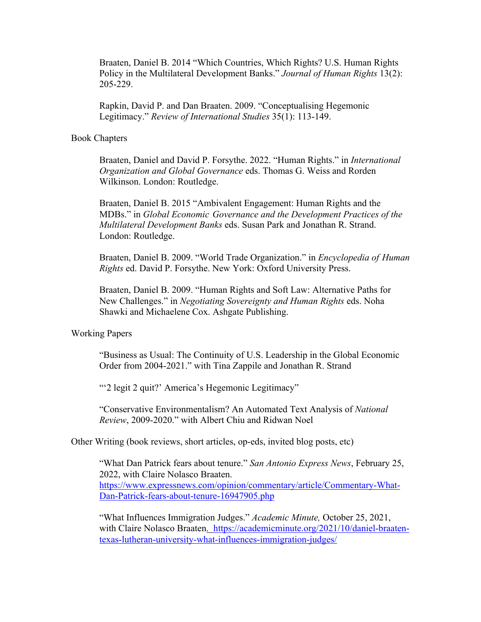Braaten, Daniel B. 2014 "Which Countries, Which Rights? U.S. Human Rights Policy in the Multilateral Development Banks." *Journal of Human Rights* 13(2): 205-229.

Rapkin, David P. and Dan Braaten. 2009. "Conceptualising Hegemonic Legitimacy." *Review of International Studies* 35(1): 113-149.

#### Book Chapters

Braaten, Daniel and David P. Forsythe. 2022. "Human Rights." in *International Organization and Global Governance* eds. Thomas G. Weiss and Rorden Wilkinson. London: Routledge.

Braaten, Daniel B. 2015 "Ambivalent Engagement: Human Rights and the MDBs." in *Global Economic Governance and the Development Practices of the Multilateral Development Banks* eds. Susan Park and Jonathan R. Strand. London: Routledge.

Braaten, Daniel B. 2009. "World Trade Organization." in *Encyclopedia of Human Rights* ed. David P. Forsythe. New York: Oxford University Press.

Braaten, Daniel B. 2009. "Human Rights and Soft Law: Alternative Paths for New Challenges." in *Negotiating Sovereignty and Human Rights* eds. Noha Shawki and Michaelene Cox. Ashgate Publishing.

## Working Papers

"Business as Usual: The Continuity of U.S. Leadership in the Global Economic Order from 2004-2021." with Tina Zappile and Jonathan R. Strand

""2 legit 2 quit?' America's Hegemonic Legitimacy"

"Conservative Environmentalism? An Automated Text Analysis of *National Review*, 2009-2020." with Albert Chiu and Ridwan Noel

Other Writing (book reviews, short articles, op-eds, invited blog posts, etc)

"What Dan Patrick fears about tenure." *San Antonio Express News*, February 25, 2022, with Claire Nolasco Braaten. https://www.expressnews.com/opinion/commentary/article/Commentary-What-Dan-Patrick-fears-about-tenure-16947905.php

"What Influences Immigration Judges." *Academic Minute,* October 25, 2021, with Claire Nolasco Braaten. https://academicminute.org/2021/10/daniel-braatentexas-lutheran-university-what-influences-immigration-judges/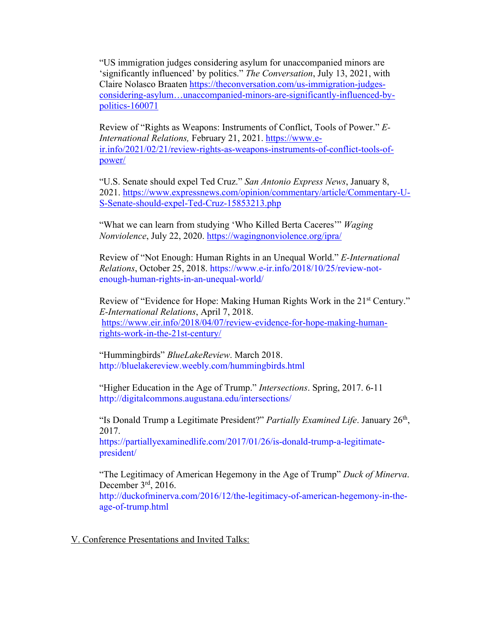"US immigration judges considering asylum for unaccompanied minors are 'significantly influenced' by politics." *The Conversation*, July 13, 2021, with Claire Nolasco Braaten https://theconversation.com/us-immigration-judgesconsidering-asylum…unaccompanied-minors-are-significantly-influenced-bypolitics-160071

Review of "Rights as Weapons: Instruments of Conflict, Tools of Power." *E-International Relations,* February 21, 2021. https://www.eir.info/2021/02/21/review-rights-as-weapons-instruments-of-conflict-tools-ofpower/

"U.S. Senate should expel Ted Cruz." *San Antonio Express News*, January 8, 2021. https://www.expressnews.com/opinion/commentary/article/Commentary-U-S-Senate-should-expel-Ted-Cruz-15853213.php

"What we can learn from studying 'Who Killed Berta Caceres'" *Waging Nonviolence*, July 22, 2020. https://wagingnonviolence.org/ipra/

Review of "Not Enough: Human Rights in an Unequal World." *E-International Relations*, October 25, 2018. https://www.e-ir.info/2018/10/25/review-notenough-human-rights-in-an-unequal-world/

Review of "Evidence for Hope: Making Human Rights Work in the 21<sup>st</sup> Century." *E-International Relations*, April 7, 2018. https://www.eir.info/2018/04/07/review-evidence-for-hope-making-humanrights-work-in-the-21st-century/

"Hummingbirds" *BlueLakeReview*. March 2018. http://bluelakereview.weebly.com/hummingbirds.html

"Higher Education in the Age of Trump." *Intersections*. Spring, 2017. 6-11 http://digitalcommons.augustana.edu/intersections/

"Is Donald Trump a Legitimate President?" *Partially Examined Life*. January 26th, 2017.

https://partiallyexaminedlife.com/2017/01/26/is-donald-trump-a-legitimatepresident/

"The Legitimacy of American Hegemony in the Age of Trump" *Duck of Minerva*. December 3rd, 2016.

http://duckofminerva.com/2016/12/the-legitimacy-of-american-hegemony-in-theage-of-trump.html

V. Conference Presentations and Invited Talks: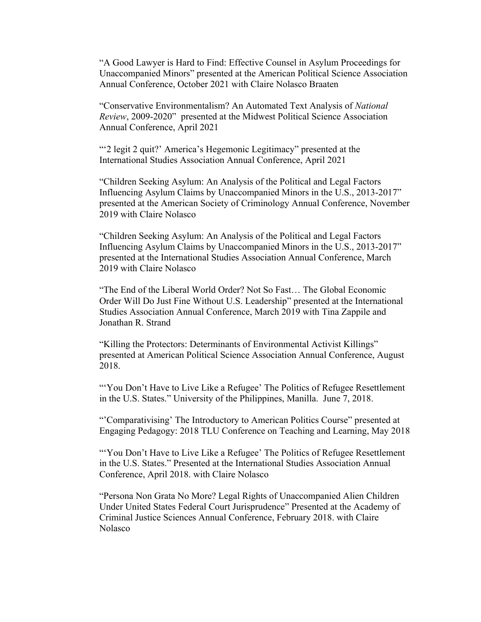"A Good Lawyer is Hard to Find: Effective Counsel in Asylum Proceedings for Unaccompanied Minors" presented at the American Political Science Association Annual Conference, October 2021 with Claire Nolasco Braaten

"Conservative Environmentalism? An Automated Text Analysis of *National Review*, 2009-2020" presented at the Midwest Political Science Association Annual Conference, April 2021

"'2 legit 2 quit?' America's Hegemonic Legitimacy" presented at the International Studies Association Annual Conference, April 2021

"Children Seeking Asylum: An Analysis of the Political and Legal Factors Influencing Asylum Claims by Unaccompanied Minors in the U.S., 2013-2017" presented at the American Society of Criminology Annual Conference, November 2019 with Claire Nolasco

"Children Seeking Asylum: An Analysis of the Political and Legal Factors Influencing Asylum Claims by Unaccompanied Minors in the U.S., 2013-2017" presented at the International Studies Association Annual Conference, March 2019 with Claire Nolasco

"The End of the Liberal World Order? Not So Fast… The Global Economic Order Will Do Just Fine Without U.S. Leadership" presented at the International Studies Association Annual Conference, March 2019 with Tina Zappile and Jonathan R. Strand

"Killing the Protectors: Determinants of Environmental Activist Killings" presented at American Political Science Association Annual Conference, August 2018.

"You Don't Have to Live Like a Refugee' The Politics of Refugee Resettlement in the U.S. States." University of the Philippines, Manilla. June 7, 2018.

"'Comparativising' The Introductory to American Politics Course" presented at Engaging Pedagogy: 2018 TLU Conference on Teaching and Learning, May 2018

"'You Don't Have to Live Like a Refugee' The Politics of Refugee Resettlement in the U.S. States." Presented at the International Studies Association Annual Conference, April 2018. with Claire Nolasco

"Persona Non Grata No More? Legal Rights of Unaccompanied Alien Children Under United States Federal Court Jurisprudence" Presented at the Academy of Criminal Justice Sciences Annual Conference, February 2018. with Claire Nolasco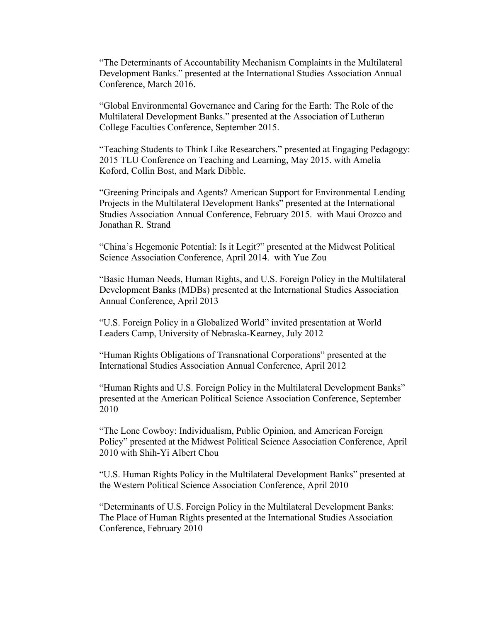"The Determinants of Accountability Mechanism Complaints in the Multilateral Development Banks." presented at the International Studies Association Annual Conference, March 2016.

"Global Environmental Governance and Caring for the Earth: The Role of the Multilateral Development Banks." presented at the Association of Lutheran College Faculties Conference, September 2015.

"Teaching Students to Think Like Researchers." presented at Engaging Pedagogy: 2015 TLU Conference on Teaching and Learning, May 2015. with Amelia Koford, Collin Bost, and Mark Dibble.

"Greening Principals and Agents? American Support for Environmental Lending Projects in the Multilateral Development Banks" presented at the International Studies Association Annual Conference, February 2015. with Maui Orozco and Jonathan R. Strand

"China's Hegemonic Potential: Is it Legit?" presented at the Midwest Political Science Association Conference, April 2014. with Yue Zou

"Basic Human Needs, Human Rights, and U.S. Foreign Policy in the Multilateral Development Banks (MDBs) presented at the International Studies Association Annual Conference, April 2013

"U.S. Foreign Policy in a Globalized World" invited presentation at World Leaders Camp, University of Nebraska-Kearney, July 2012

"Human Rights Obligations of Transnational Corporations" presented at the International Studies Association Annual Conference, April 2012

"Human Rights and U.S. Foreign Policy in the Multilateral Development Banks" presented at the American Political Science Association Conference, September 2010

"The Lone Cowboy: Individualism, Public Opinion, and American Foreign Policy" presented at the Midwest Political Science Association Conference, April 2010 with Shih-Yi Albert Chou

"U.S. Human Rights Policy in the Multilateral Development Banks" presented at the Western Political Science Association Conference, April 2010

"Determinants of U.S. Foreign Policy in the Multilateral Development Banks: The Place of Human Rights presented at the International Studies Association Conference, February 2010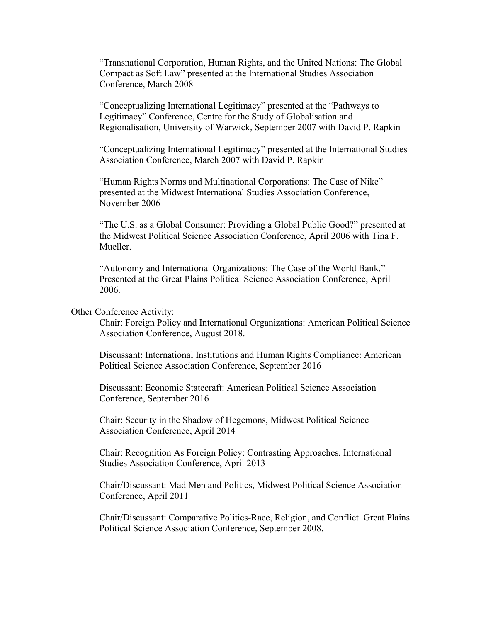"Transnational Corporation, Human Rights, and the United Nations: The Global Compact as Soft Law" presented at the International Studies Association Conference, March 2008

"Conceptualizing International Legitimacy" presented at the "Pathways to Legitimacy" Conference, Centre for the Study of Globalisation and Regionalisation, University of Warwick, September 2007 with David P. Rapkin

"Conceptualizing International Legitimacy" presented at the International Studies Association Conference, March 2007 with David P. Rapkin

"Human Rights Norms and Multinational Corporations: The Case of Nike" presented at the Midwest International Studies Association Conference, November 2006

"The U.S. as a Global Consumer: Providing a Global Public Good?" presented at the Midwest Political Science Association Conference, April 2006 with Tina F. Mueller.

"Autonomy and International Organizations: The Case of the World Bank." Presented at the Great Plains Political Science Association Conference, April 2006.

## Other Conference Activity:

Chair: Foreign Policy and International Organizations: American Political Science Association Conference, August 2018.

Discussant: International Institutions and Human Rights Compliance: American Political Science Association Conference, September 2016

Discussant: Economic Statecraft: American Political Science Association Conference, September 2016

Chair: Security in the Shadow of Hegemons, Midwest Political Science Association Conference, April 2014

Chair: Recognition As Foreign Policy: Contrasting Approaches, International Studies Association Conference, April 2013

Chair/Discussant: Mad Men and Politics, Midwest Political Science Association Conference, April 2011

Chair/Discussant: Comparative Politics-Race, Religion, and Conflict. Great Plains Political Science Association Conference, September 2008.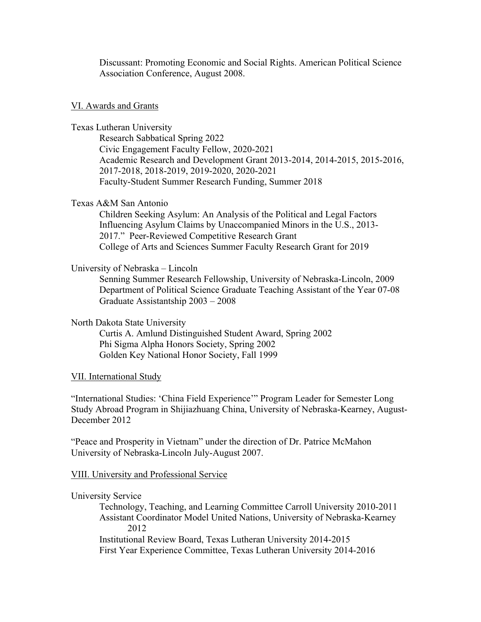Discussant: Promoting Economic and Social Rights. American Political Science Association Conference, August 2008.

#### VI. Awards and Grants

Texas Lutheran University

Research Sabbatical Spring 2022 Civic Engagement Faculty Fellow, 2020-2021 Academic Research and Development Grant 2013-2014, 2014-2015, 2015-2016, 2017-2018, 2018-2019, 2019-2020, 2020-2021 Faculty-Student Summer Research Funding, Summer 2018

# Texas A&M San Antonio

Children Seeking Asylum: An Analysis of the Political and Legal Factors Influencing Asylum Claims by Unaccompanied Minors in the U.S., 2013- 2017." Peer-Reviewed Competitive Research Grant College of Arts and Sciences Summer Faculty Research Grant for 2019

# University of Nebraska – Lincoln

Senning Summer Research Fellowship, University of Nebraska-Lincoln, 2009 Department of Political Science Graduate Teaching Assistant of the Year 07-08 Graduate Assistantship 2003 – 2008

## North Dakota State University

Curtis A. Amlund Distinguished Student Award, Spring 2002 Phi Sigma Alpha Honors Society, Spring 2002 Golden Key National Honor Society, Fall 1999

## VII. International Study

"International Studies: 'China Field Experience'" Program Leader for Semester Long Study Abroad Program in Shijiazhuang China, University of Nebraska-Kearney, August-December 2012

"Peace and Prosperity in Vietnam" under the direction of Dr. Patrice McMahon University of Nebraska-Lincoln July-August 2007.

## VIII. University and Professional Service

#### University Service

Technology, Teaching, and Learning Committee Carroll University 2010-2011 Assistant Coordinator Model United Nations, University of Nebraska-Kearney 2012

Institutional Review Board, Texas Lutheran University 2014-2015 First Year Experience Committee, Texas Lutheran University 2014-2016